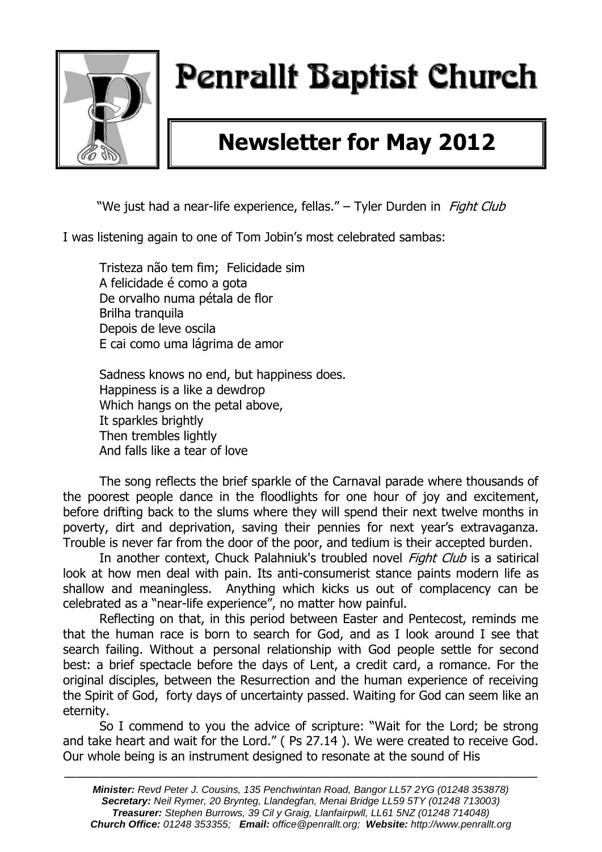

# Penrallt Baptist Church

## **Newsletter for May 2012**

"We just had a near-life experience, fellas." – Tyler Durden in Fight Club

I was listening again to one of Tom Jobin's most celebrated sambas:

Tristeza não tem fim; Felicidade sim A felicidade é como a gota De orvalho numa pétala de flor Brilha tranquila Depois de leve oscila E cai como uma lágrima de amor

Sadness knows no end, but happiness does. Happiness is a like a dewdrop Which hangs on the petal above, It sparkles brightly Then trembles lightly And falls like a tear of love

The song reflects the brief sparkle of the Carnaval parade where thousands of the poorest people dance in the floodlights for one hour of joy and excitement, before drifting back to the slums where they will spend their next twelve months in poverty, dirt and deprivation, saving their pennies for next year's extravaganza. Trouble is never far from the door of the poor, and tedium is their accepted burden.

In another context, Chuck Palahniuk's troubled novel *Fight Club* is a satirical look at how men deal with pain. Its anti-consumerist stance paints modern life as shallow and meaningless. Anything which kicks us out of complacency can be celebrated as a "near-life experience", no matter how painful.

Reflecting on that, in this period between Easter and Pentecost, reminds me that the human race is born to search for God, and as I look around I see that search failing. Without a personal relationship with God people settle for second best: a brief spectacle before the days of Lent, a credit card, a romance. For the original disciples, between the Resurrection and the human experience of receiving the Spirit of God, forty days of uncertainty passed. Waiting for God can seem like an eternity.

So I commend to you the advice of scripture: "Wait for the Lord; be strong and take heart and wait for the Lord." ( Ps 27.14 ). We were created to receive God. Our whole being is an instrument designed to resonate at the sound of His

———————————————————————————————————————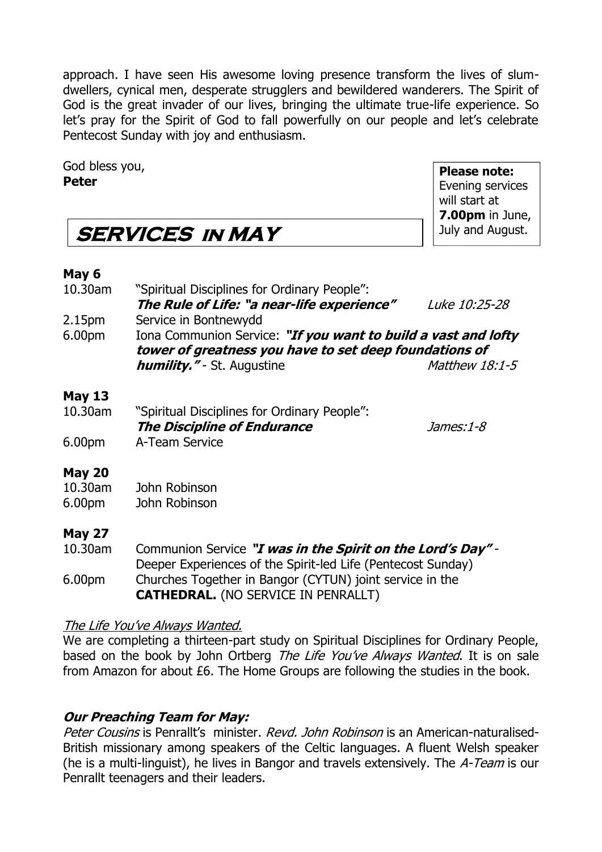approach. I have seen His awesome loving presence transform the lives of slumdwellers, cynical men, desperate strugglers and bewildered wanderers. The Spirit of God is the great invader of our lives, bringing the ultimate true-life experience. So let's pray for the Spirit of God to fall powerfully on our people and let's celebrate Pentecost Sunday with joy and enthusiasm.

God bless you, **Peter**

**Please note:** Evening services will start at **7.00pm** in June, July and August.

## **SERVICES in MAY**

### **May 6**

| 10.30am            | "Spiritual Disciplines for Ordinary People":<br>The Rule of Life: "a near-life experience"                               | Luke 10:25-28  |  |  |  |
|--------------------|--------------------------------------------------------------------------------------------------------------------------|----------------|--|--|--|
| 2.15 <sub>pm</sub> | Service in Bontnewydd                                                                                                    |                |  |  |  |
| 6.00pm             | Iona Communion Service: "If you want to build a vast and lofty<br>tower of greatness you have to set deep foundations of |                |  |  |  |
|                    | <i>humility."</i> - St. Augustine                                                                                        | Matthew 18:1-5 |  |  |  |
| <b>May 13</b>      |                                                                                                                          |                |  |  |  |
| 10.30am            | "Spiritual Disciplines for Ordinary People":                                                                             |                |  |  |  |
|                    | <b>The Discipline of Endurance</b>                                                                                       | James:1-8      |  |  |  |
| 6.00 <sub>pm</sub> | A-Team Service                                                                                                           |                |  |  |  |
| <b>May 20</b>      |                                                                                                                          |                |  |  |  |
| 10.30am            | John Robinson                                                                                                            |                |  |  |  |
| 6.00pm             | John Robinson                                                                                                            |                |  |  |  |

### **May 27**

10.30am Communion Service **"I was in the Spirit on the Lord's Day"** - Deeper Experiences of the Spirit-led Life (Pentecost Sunday) 6.00pm Churches Together in Bangor (CYTUN) joint service in the **CATHEDRAL.** (NO SERVICE IN PENRALLT)

### The Life You've Always Wanted.

We are completing a thirteen-part study on Spiritual Disciplines for Ordinary People, based on the book by John Ortberg The Life You've Always Wanted. It is on sale from Amazon for about £6. The Home Groups are following the studies in the book.

### **Our Preaching Team for May:**

Peter Cousins is Penrallt's minister. Revd. John Robinson is an American-naturalised-British missionary among speakers of the Celtic languages. A fluent Welsh speaker (he is a multi-linguist), he lives in Bangor and travels extensively. The A-Team is our Penrallt teenagers and their leaders.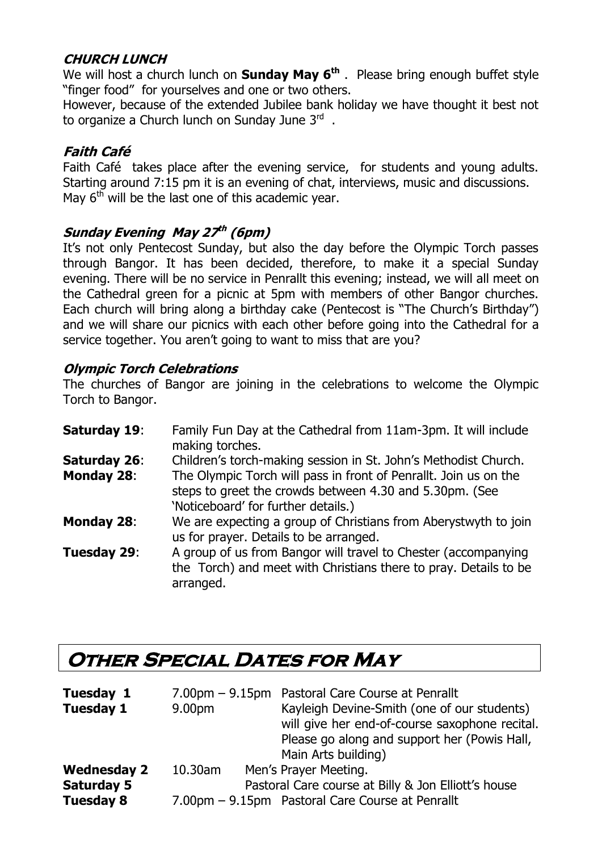### **CHURCH LUNCH**

We will host a church lunch on **Sunday May 6th** . Please bring enough buffet style "finger food" for yourselves and one or two others.

However, because of the extended Jubilee bank holiday we have thought it best not to organize a Church lunch on Sunday June 3<sup>rd</sup>.

### **Faith Café**

Faith Café takes place after the evening service, for students and young adults. Starting around 7:15 pm it is an evening of chat, interviews, music and discussions. May  $6<sup>th</sup>$  will be the last one of this academic year.

### **Sunday Evening May 27 th (6pm)**

It's not only Pentecost Sunday, but also the day before the Olympic Torch passes through Bangor. It has been decided, therefore, to make it a special Sunday evening. There will be no service in Penrallt this evening; instead, we will all meet on the Cathedral green for a picnic at 5pm with members of other Bangor churches. Each church will bring along a birthday cake (Pentecost is "The Church's Birthday") and we will share our picnics with each other before going into the Cathedral for a service together. You aren't going to want to miss that are you?

### **Olympic Torch Celebrations**

The churches of Bangor are joining in the celebrations to welcome the Olympic Torch to Bangor.

| Saturday 19:        | Family Fun Day at the Cathedral from 11am-3pm. It will include<br>making torches.                                                                                  |
|---------------------|--------------------------------------------------------------------------------------------------------------------------------------------------------------------|
| <b>Saturday 26:</b> | Children's torch-making session in St. John's Methodist Church.                                                                                                    |
| <b>Monday 28:</b>   | The Olympic Torch will pass in front of Penrallt. Join us on the<br>steps to greet the crowds between 4.30 and 5.30pm. (See<br>'Noticeboard' for further details.) |
| <b>Monday 28:</b>   | We are expecting a group of Christians from Aberystwyth to join<br>us for prayer. Details to be arranged.                                                          |
| Tuesday 29:         | A group of us from Bangor will travel to Chester (accompanying<br>the Torch) and meet with Christians there to pray. Details to be<br>arranged.                    |

## **Other Special Dates for May**

| Tuesday 1          |         | 7.00pm - 9.15pm Pastoral Care Course at Penrallt    |
|--------------------|---------|-----------------------------------------------------|
| <b>Tuesday 1</b>   | 9.00pm  | Kayleigh Devine-Smith (one of our students)         |
|                    |         | will give her end-of-course saxophone recital.      |
|                    |         | Please go along and support her (Powis Hall,        |
|                    |         | Main Arts building)                                 |
| <b>Wednesday 2</b> | 10.30am | Men's Prayer Meeting.                               |
| <b>Saturday 5</b>  |         | Pastoral Care course at Billy & Jon Elliott's house |
| <b>Tuesday 8</b>   |         | 7.00pm - 9.15pm Pastoral Care Course at Penrallt    |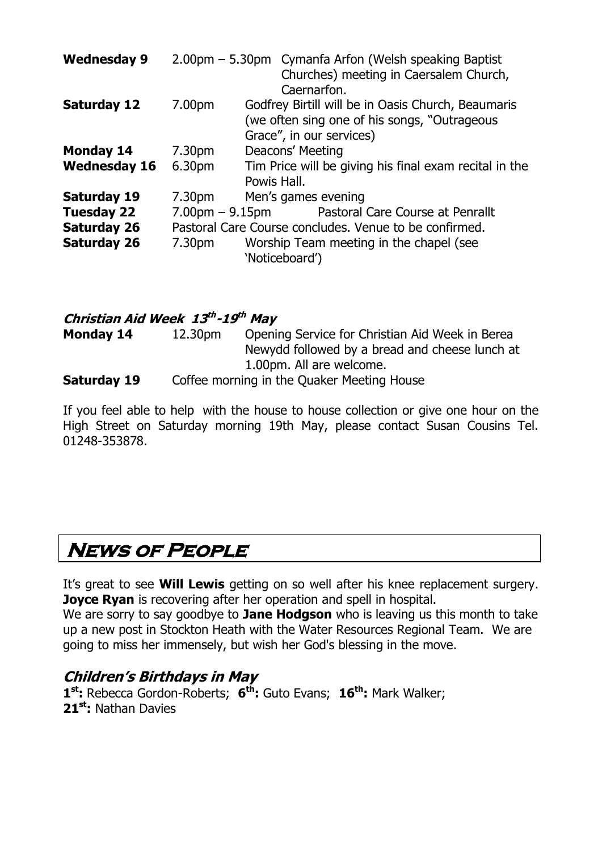| <b>Wednesday 9</b>  |                                                        | 2.00pm - 5.30pm Cymanfa Arfon (Welsh speaking Baptist<br>Churches) meeting in Caersalem Church,<br>Caernarfon.                 |  |
|---------------------|--------------------------------------------------------|--------------------------------------------------------------------------------------------------------------------------------|--|
| <b>Saturday 12</b>  | 7.00pm                                                 | Godfrey Birtill will be in Oasis Church, Beaumaris<br>(we often sing one of his songs, "Outrageous<br>Grace", in our services) |  |
| <b>Monday 14</b>    | 7.30 <sub>pm</sub>                                     | Deacons' Meeting                                                                                                               |  |
| <b>Wednesday 16</b> | 6.30pm                                                 | Tim Price will be giving his final exam recital in the<br>Powis Hall.                                                          |  |
| <b>Saturday 19</b>  | 7.30 <sub>pm</sub>                                     | Men's games evening                                                                                                            |  |
| <b>Tuesday 22</b>   | $7.00pm - 9.15pm$                                      | Pastoral Care Course at Penrallt                                                                                               |  |
| <b>Saturday 26</b>  | Pastoral Care Course concludes. Venue to be confirmed. |                                                                                                                                |  |
| <b>Saturday 26</b>  | 7.30 <sub>pm</sub>                                     | Worship Team meeting in the chapel (see<br>'Noticeboard')                                                                      |  |

**Christian Aid Week 13 th -19 th May Monday 14** 12.30pm Opening Service for Christian Aid Week in Berea Newydd followed by a bread and cheese lunch at 1.00pm. All are welcome. **Saturday 19** Coffee morning in the Quaker Meeting House

If you feel able to help with the house to house collection or give one hour on the High Street on Saturday morning 19th May, please contact Susan Cousins Tel. 01248-353878.

## **News of People**

It's great to see **Will Lewis** getting on so well after his knee replacement surgery.  **Joyce Ryan** is recovering after her operation and spell in hospital.

We are sorry to say goodbye to **Jane Hodgson** who is leaving us this month to take up a new post in Stockton Heath with the Water Resources Regional Team. We are going to miss her immensely, but wish her God's blessing in the move.

### **Children's Birthdays in May**

**1 st:** Rebecca Gordon-Roberts; **6 th:** Guto Evans; **16th:** Mark Walker; **21st:** Nathan Davies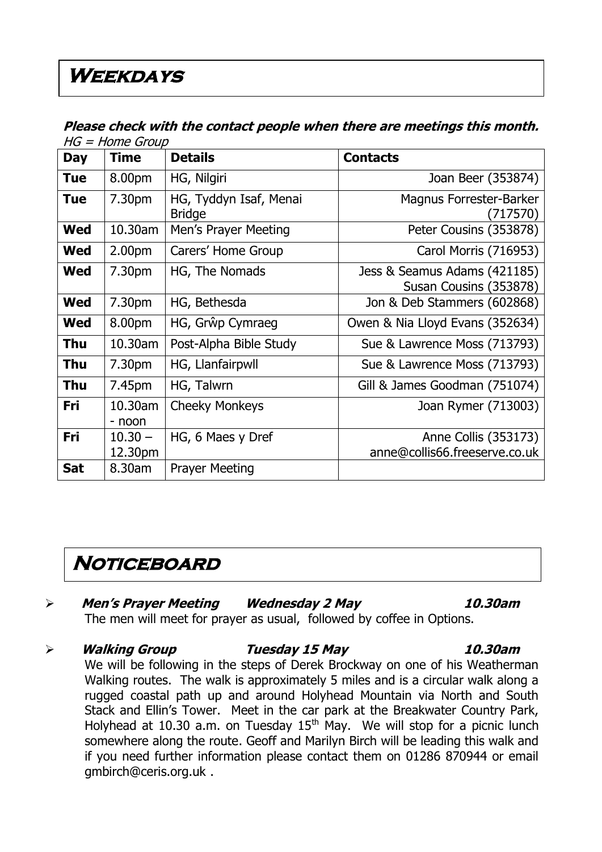## **Weekdays**

|            | עשטוט סוווטו <i>ו</i> – טו ו |                                         |                                                        |  |  |
|------------|------------------------------|-----------------------------------------|--------------------------------------------------------|--|--|
| <b>Day</b> | <b>Time</b>                  | <b>Details</b>                          | <b>Contacts</b>                                        |  |  |
| <b>Tue</b> | 8.00pm                       | HG, Nilgiri                             | Joan Beer (353874)                                     |  |  |
| <b>Tue</b> | 7.30pm                       | HG, Tyddyn Isaf, Menai<br><b>Bridge</b> | Magnus Forrester-Barker<br>(717570)                    |  |  |
| <b>Wed</b> | 10.30am                      | Men's Prayer Meeting                    | Peter Cousins (353878)                                 |  |  |
| Wed        | 2.00 <sub>pm</sub>           | Carers' Home Group                      | Carol Morris (716953)                                  |  |  |
| <b>Wed</b> | 7.30pm                       | HG, The Nomads                          | Jess & Seamus Adams (421185)<br>Susan Cousins (353878) |  |  |
| <b>Wed</b> | 7.30pm                       | HG, Bethesda                            | Jon & Deb Stammers (602868)                            |  |  |
| Wed        | 8.00pm                       | HG, Grŵp Cymraeg                        | Owen & Nia Lloyd Evans (352634)                        |  |  |
| <b>Thu</b> | 10.30am                      | Post-Alpha Bible Study                  | Sue & Lawrence Moss (713793)                           |  |  |
| <b>Thu</b> | 7.30pm                       | HG, Llanfairpwll                        | Sue & Lawrence Moss (713793)                           |  |  |
| <b>Thu</b> | 7.45pm                       | HG, Talwrn                              | Gill & James Goodman (751074)                          |  |  |
| Fri        | 10.30am<br>- noon            | <b>Cheeky Monkeys</b>                   | Joan Rymer (713003)                                    |  |  |
| Fri        | $10.30 -$<br>12.30pm         | HG, 6 Maes y Dref                       | Anne Collis (353173)<br>anne@collis66.freeserve.co.uk  |  |  |
| <b>Sat</b> | 8.30am                       | <b>Prayer Meeting</b>                   |                                                        |  |  |

### **Please check with the contact people when there are meetings this month.**   $HG = H \circ A$

## **Noticeboard**

[gmbirch@ceris.org.uk](mailto:gmbirch@ceris.org.uk) .

### **Men's Prayer Meeting Wednesday 2 May 10.30am** The men will meet for prayer as usual, followed by coffee in Options.

 **Walking Group Tuesday 15 May 10.30am** We will be following in the steps of Derek Brockway on one of his Weatherman Walking routes. The walk is approximately 5 miles and is a circular walk along a rugged coastal path up and around Holyhead Mountain via North and South Stack and Ellin's Tower. Meet in the car park at the Breakwater Country Park, Holyhead at 10.30 a.m. on Tuesday  $15<sup>th</sup>$  May. We will stop for a picnic lunch somewhere along the route. Geoff and Marilyn Birch will be leading this walk and if you need further information please contact them on 01286 870944 or email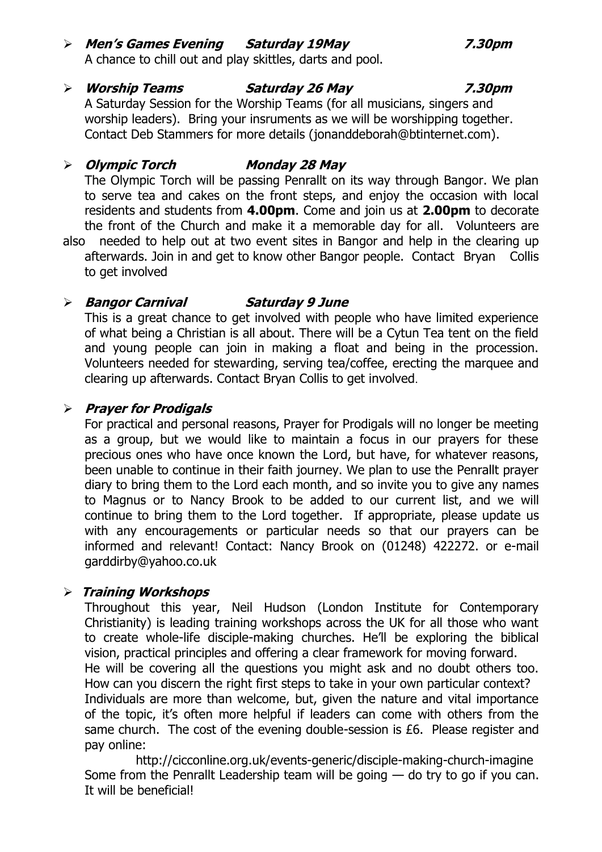### **Men's Games Evening Saturday 19May 7.30pm**

A chance to chill out and play skittles, darts and pool.

### **Worship Teams Saturday 26 May 7.30pm** A Saturday Session for the Worship Teams (for all musicians, singers and

worship leaders). Bring your insruments as we will be worshipping together. Contact Deb Stammers for more details [\(jonanddeborah@btinternet.com\)](mailto:jonanddeborah@btinternet.com).

### **Olympic Torch Monday 28 May**

The Olympic Torch will be passing Penrallt on its way through Bangor. We plan to serve tea and cakes on the front steps, and enjoy the occasion with local residents and students from **4.00pm**. Come and join us at **2.00pm** to decorate the front of the Church and make it a memorable day for all. Volunteers are

also needed to help out at two event sites in Bangor and help in the clearing up afterwards. Join in and get to know other Bangor people. Contact Bryan Collis to get involved

### **Bangor Carnival Saturday 9 June**

This is a great chance to get involved with people who have limited experience of what being a Christian is all about. There will be a Cytun Tea tent on the field and young people can join in making a float and being in the procession. Volunteers needed for stewarding, serving tea/coffee, erecting the marquee and clearing up afterwards. Contact Bryan Collis to get involved.

### **Prayer for Prodigals**

For practical and personal reasons, Prayer for Prodigals will no longer be meeting as a group, but we would like to maintain a focus in our prayers for these precious ones who have once known the Lord, but have, for whatever reasons, been unable to continue in their faith journey. We plan to use the Penrallt prayer diary to bring them to the Lord each month, and so invite you to give any names to Magnus or to Nancy Brook to be added to our current list, and we will continue to bring them to the Lord together. If appropriate, please update us with any encouragements or particular needs so that our prayers can be informed and relevant! Contact: Nancy Brook on (01248) 422272. or e-mail [garddirby@yahoo.co.uk](mailto:garddirby@yahoo.co.uk)

### **Training Workshops**

Throughout this year, Neil Hudson (London Institute for Contemporary Christianity) is leading training workshops across the UK for all those who want to create whole-life disciple-making churches. He'll be exploring the biblical vision, practical principles and offering a clear framework for moving forward. He will be covering all the questions you might ask and no doubt others too. How can you discern the right first steps to take in your own particular context? Individuals are more than welcome, but, given the nature and vital importance of the topic, it's often more helpful if leaders can come with others from the same church. The cost of the evening double-session is £6. Please register and pay online:

<http://cicconline.org.uk/events-generic/disciple-making-church-imagine> Some from the Penrallt Leadership team will be going  $-$  do try to go if you can. It will be beneficial!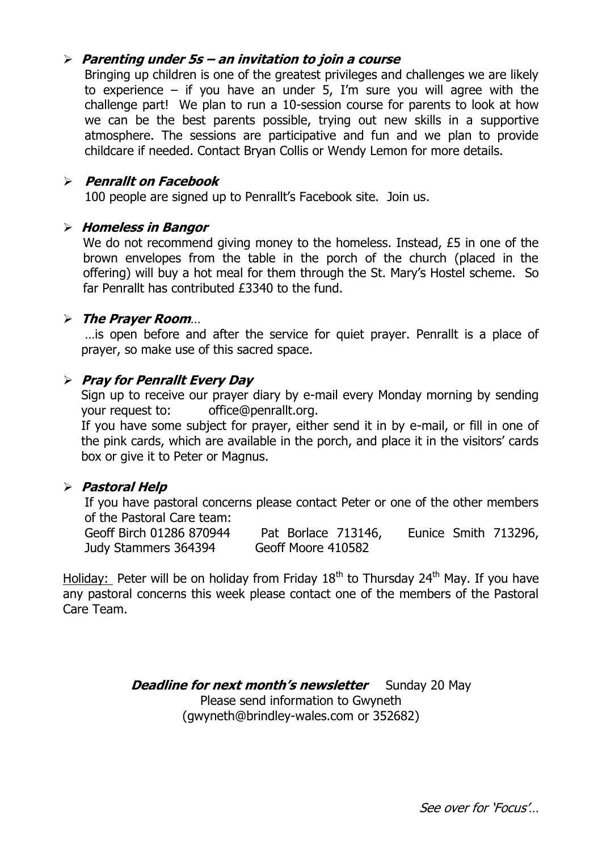### **Parenting under 5s – an invitation to join a course**

Bringing up children is one of the greatest privileges and challenges we are likely to experience – if you have an under 5, I'm sure you will agree with the challenge part! We plan to run a 10-session course for parents to look at how we can be the best parents possible, trying out new skills in a supportive atmosphere. The sessions are participative and fun and we plan to provide childcare if needed. Contact Bryan Collis or Wendy Lemon for more details.

### **Penrallt on Facebook**

100 people are signed up to Penrallt's Facebook site. Join us.

### **Homeless in Bangor**

We do not recommend giving money to the homeless. Instead, £5 in one of the brown envelopes from the table in the porch of the church (placed in the offering) will buy a hot meal for them through the St. Mary's Hostel scheme. So far Penrallt has contributed £3340 to the fund.

### **The Prayer Room**…

…is open before and after the service for quiet prayer. Penrallt is a place of prayer, so make use of this sacred space.

### **Pray for Penrallt Every Day**

Sign up to receive our prayer diary by e-mail every Monday morning by sending your request to: [office@penrallt.org.](mailto:office@penrallt.org)

If you have some subject for prayer, either send it in by e-mail, or fill in one of the pink cards, which are available in the porch, and place it in the visitors' cards box or give it to Peter or Magnus.

### **Pastoral Help**

If you have pastoral concerns please contact Peter or one of the other members of the Pastoral Care team:

Geoff Birch 01286 870944 Pat Borlace 713146, Eunice Smith 713296, Judy Stammers 364394 Geoff Moore 410582

Holiday: Peter will be on holiday from Friday  $18<sup>th</sup>$  to Thursday 24<sup>th</sup> May. If you have any pastoral concerns this week please contact one of the members of the Pastoral Care Team.

> **Deadline for next month's newsletter** Sunday 20 May Please send information to Gwyneth [\(gwyneth@brindley-wales.com](mailto:gwyneth@brindley-wales.com) or 352682)